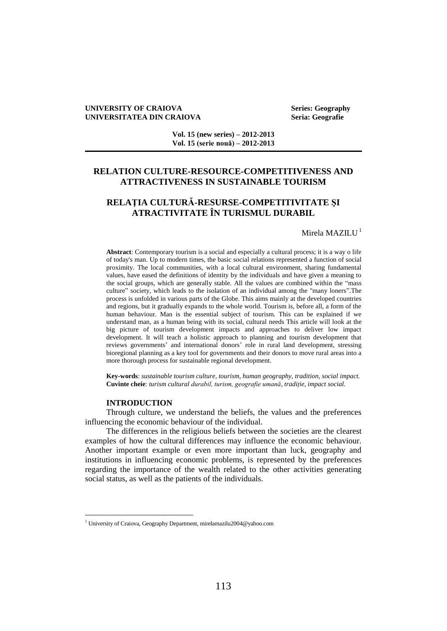### **UNIVERSITY OF CRAIOVA Series: Geography UNIVERSITATEA DIN CRAIOVA Seria: Geografie**

**Vol. 15 (new series) – 2012-2013 Vol. 15 (serie nouă) – 2012-2013**

# **RELATION CULTURE-RESOURCE-COMPETITIVENESS AND ATTRACTIVENESS IN SUSTAINABLE TOURISM**

# **RELAŢIA CULTURĂ-RESURSE-COMPETITIVITATE ŞI ATRACTIVITATE ÎN TURISMUL DURABIL**

## Mirela MAZILU<sup>1</sup>

**Abstract**: Contemporary tourism is a social and especially a cultural process; it is a way o life of today's man. Up to modern times, the basic social relations represented a function of social proximity. The local communities, with a local cultural environment, sharing fundamental values, have eased the definitions of identity by the individuals and have given a meaning to the social groups, which are generally stable. All the values are combined within the "mass culture" society, which leads to the isolation of an individual among the "many loners".The process is unfolded in various parts of the Globe. This aims mainly at the developed countries and regions, but it gradually expands to the whole world. Tourism is, before all, a form of the human behaviour. Man is the essential subject of tourism. This can be explained if we understand man, as a human being with its social, cultural needs This article will look at the big picture of tourism development impacts and approaches to deliver low impact development. It will teach a holistic approach to planning and tourism development that reviews governments' and international donors' role in rural land development, stressing bioregional planning as a key tool for governments and their donors to move rural areas into a more thorough process for sustainable regional development.

**Key-words**: *sustainable tourism culture, tourism, human geography, tradition, social impact.* **Cuvinte cheie**: *turism cultural durabil, turism, geografie umană, tradiție, impact social.*

## **INTRODUCTION**

 $\overline{a}$ 

Through culture, we understand the beliefs, the values and the preferences influencing the economic behaviour of the individual.

The differences in the religious beliefs between the societies are the clearest examples of how the cultural differences may influence the economic behaviour. Another important example or even more important than luck, geography and institutions in influencing economic problems, is represented by the preferences regarding the importance of the wealth related to the other activities generating social status, as well as the patients of the individuals.

<sup>&</sup>lt;sup>1</sup> University of Craiova, Geography Department, mirelamazilu2004@yahoo.com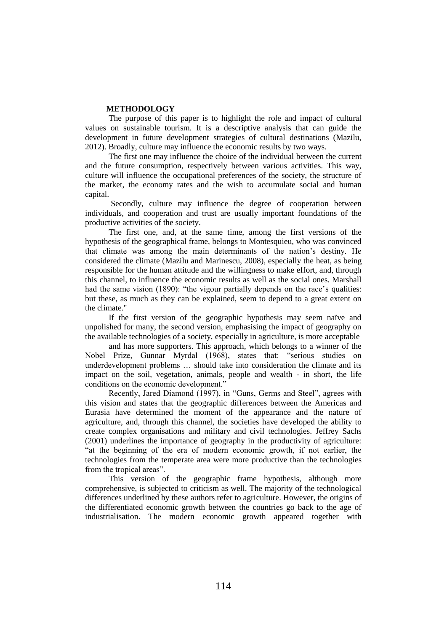## **METHODOLOGY**

The purpose of this paper is to highlight the role and impact of cultural values on sustainable tourism. It is a descriptive analysis that can guide the development in future development strategies of cultural destinations (Mazilu, 2012). Broadly, culture may influence the economic results by two ways.

The first one may influence the choice of the individual between the current and the future consumption, respectively between various activities. This way, culture will influence the occupational preferences of the society, the structure of the market, the economy rates and the wish to accumulate social and human capital.

Secondly, culture may influence the degree of cooperation between individuals, and cooperation and trust are usually important foundations of the productive activities of the society.

The first one, and, at the same time, among the first versions of the hypothesis of the geographical frame, belongs to Montesquieu, who was convinced that climate was among the main determinants of the nation's destiny. He considered the climate (Mazilu and Marinescu, 2008), especially the heat, as being responsible for the human attitude and the willingness to make effort, and, through this channel, to influence the economic results as well as the social ones. Marshall had the same vision (1890): "the vigour partially depends on the race's qualities: but these, as much as they can be explained, seem to depend to a great extent on the climate."

If the first version of the geographic hypothesis may seem naïve and unpolished for many, the second version, emphasising the impact of geography on the available technologies of a society, especially in agriculture, is more acceptable

and has more supporters. This approach, which belongs to a winner of the Nobel Prize, Gunnar Myrdal (1968), states that: "serious studies on underdevelopment problems … should take into consideration the climate and its impact on the soil, vegetation, animals, people and wealth - in short, the life conditions on the economic development."

Recently, Jared Diamond (1997), in "Guns, Germs and Steel", agrees with this vision and states that the geographic differences between the Americas and Eurasia have determined the moment of the appearance and the nature of agriculture, and, through this channel, the societies have developed the ability to create complex organisations and military and civil technologies. Jeffrey Sachs (2001) underlines the importance of geography in the productivity of agriculture: "at the beginning of the era of modern economic growth, if not earlier, the technologies from the temperate area were more productive than the technologies from the tropical areas".

This version of the geographic frame hypothesis, although more comprehensive, is subjected to criticism as well. The majority of the technological differences underlined by these authors refer to agriculture. However, the origins of the differentiated economic growth between the countries go back to the age of industrialisation. The modern economic growth appeared together with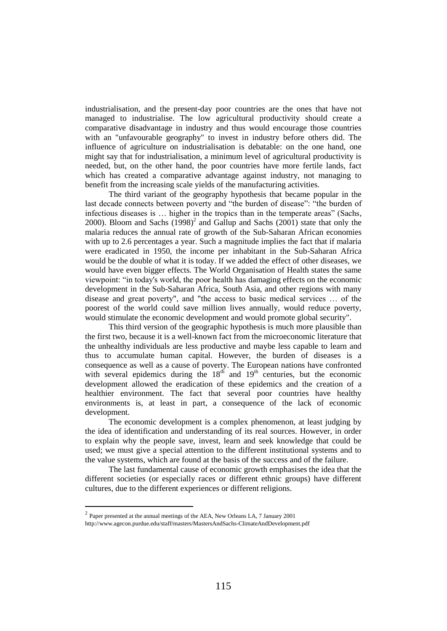industrialisation, and the present-day poor countries are the ones that have not managed to industrialise. The low agricultural productivity should create a comparative disadvantage in industry and thus would encourage those countries with an "unfavourable geography" to invest in industry before others did. The influence of agriculture on industrialisation is debatable: on the one hand, one might say that for industrialisation, a minimum level of agricultural productivity is needed, but, on the other hand, the poor countries have more fertile lands, fact which has created a comparative advantage against industry, not managing to benefit from the increasing scale yields of the manufacturing activities.

The third variant of the geography hypothesis that became popular in the last decade connects between poverty and "the burden of disease": "the burden of infectious diseases is … higher in the tropics than in the temperate areas" (Sachs, 2000). Bloom and Sachs  $(1998)^2$  and Gallup and Sachs  $(2001)$  state that only the malaria reduces the annual rate of growth of the Sub-Saharan African economies with up to 2.6 percentages a year. Such a magnitude implies the fact that if malaria were eradicated in 1950, the income per inhabitant in the Sub-Saharan Africa would be the double of what it is today. If we added the effect of other diseases, we would have even bigger effects. The World Organisation of Health states the same viewpoint: "in today's world, the poor health has damaging effects on the economic development in the Sub-Saharan Africa, South Asia, and other regions with many disease and great poverty", and "the access to basic medical services … of the poorest of the world could save million lives annually, would reduce poverty, would stimulate the economic development and would promote global security".

This third version of the geographic hypothesis is much more plausible than the first two, because it is a well-known fact from the microeconomic literature that the unhealthy individuals are less productive and maybe less capable to learn and thus to accumulate human capital. However, the burden of diseases is a consequence as well as a cause of poverty. The European nations have confronted with several epidemics during the  $18<sup>th</sup>$  and  $19<sup>th</sup>$  centuries, but the economic development allowed the eradication of these epidemics and the creation of a healthier environment. The fact that several poor countries have healthy environments is, at least in part, a consequence of the lack of economic development.

The economic development is a complex phenomenon, at least judging by the idea of identification and understanding of its real sources. However, in order to explain why the people save, invest, learn and seek knowledge that could be used; we must give a special attention to the different institutional systems and to the value systems, which are found at the basis of the success and of the failure.

The last fundamental cause of economic growth emphasises the idea that the different societies (or especially races or different ethnic groups) have different cultures, due to the different experiences or different religions.

l

 $2$  Paper presented at the annual meetings of the AEA, New Orleans LA, 7 January 2001

http://www.agecon.purdue.edu/staff/masters/MastersAndSachs-ClimateAndDevelopment.pdf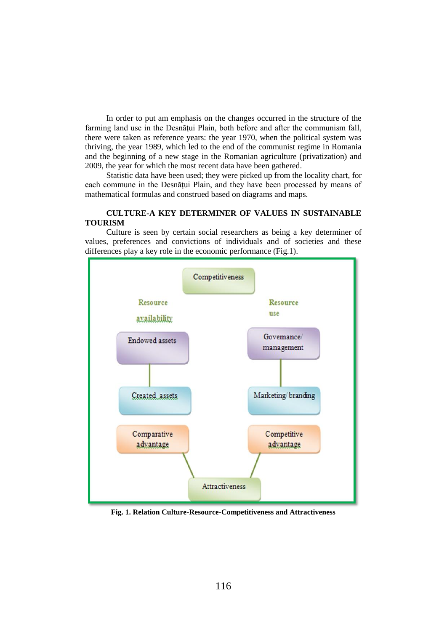In order to put am emphasis on the changes occurred in the structure of the farming land use in the Desnătui Plain, both before and after the communism fall, there were taken as reference years: the year 1970, when the political system was thriving, the year 1989, which led to the end of the communist regime in Romania and the beginning of a new stage in the Romanian agriculture (privatization) and 2009, the year for which the most recent data have been gathered.

Statistic data have been used; they were picked up from the locality chart, for each commune in the Desnățui Plain, and they have been processed by means of mathematical formulas and construed based on diagrams and maps.

## **CULTURE-A KEY DETERMINER OF VALUES IN SUSTAINABLE TOURISM**

Culture is seen by certain social researchers as being a key determiner of values, preferences and convictions of individuals and of societies and these differences play a key role in the economic performance (Fig.1).



**Fig. 1. Relation Culture-Resource-Competitiveness and Attractiveness**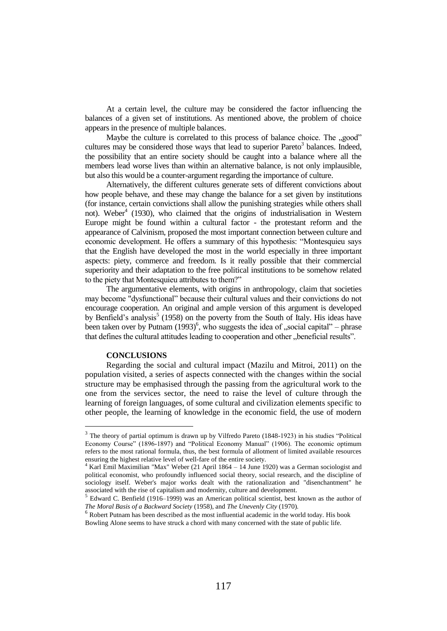At a certain level, the culture may be considered the factor influencing the balances of a given set of institutions. As mentioned above, the problem of choice appears in the presence of multiple balances.

Maybe the culture is correlated to this process of balance choice. The "good" cultures may be considered those ways that lead to superior Pareto<sup>3</sup> balances. Indeed, the possibility that an entire society should be caught into a balance where all the members lead worse lives than within an alternative balance, is not only implausible, but also this would be a counter-argument regarding the importance of culture.

Alternatively, the different cultures generate sets of different convictions about how people behave, and these may change the balance for a set given by institutions (for instance, certain convictions shall allow the punishing strategies while others shall not). Weber<sup>4</sup> (1930), who claimed that the origins of industrialisation in Western Europe might be found within a cultural factor - the protestant reform and the appearance of Calvinism, proposed the most important connection between culture and economic development. He offers a summary of this hypothesis: "Montesquieu says that the English have developed the most in the world especially in three important aspects: piety, commerce and freedom. Is it really possible that their commercial superiority and their adaptation to the free political institutions to be somehow related to the piety that Montesquieu attributes to them?"

The argumentative elements, with origins in anthropology, claim that societies may become "dysfunctional" because their cultural values and their convictions do not encourage cooperation. An original and ample version of this argument is developed by Benfield's analysis<sup>5</sup> (1958) on the poverty from the South of Italy. His ideas have been taken over by Putnam  $(1993)^6$ , who suggests the idea of , social capital" – phrase that defines the cultural attitudes leading to cooperation and other "beneficial results".

## **CONCLUSIONS**

 $\overline{a}$ 

Regarding the social and cultural impact (Mazilu and Mitroi, 2011) on the population visited, a series of aspects connected with the changes within the social structure may be emphasised through the passing from the agricultural work to the one from the services sector, the need to raise the level of culture through the learning of foreign languages, of some cultural and civilization elements specific to other people, the learning of knowledge in the economic field, the use of modern

 $3$  The theory of partial optimum is drawn up by Vilfredo Pareto (1848-1923) in his studies "Political Economy Course" (1896-1897) and "Political Economy Manual" (1906). The economic optimum refers to the most rational formula, thus, the best formula of allotment of limited available resources ensuring the highest relative level of well-fare of the entire society.

<sup>&</sup>lt;sup>4</sup> Karl Emil Maximilian "Max" Weber (21 April 1864 – 14 June 1920) was a [German](http://en.wikipedia.org/wiki/German_people) [sociologist](http://en.wikipedia.org/wiki/Sociology) and [political economist,](http://en.wikipedia.org/wiki/Political_economy) who profoundly influenced [social theory,](http://en.wikipedia.org/wiki/Social_theory) [social research,](http://en.wikipedia.org/wiki/Social_research) and the discipline of sociology itself. Weber's major works dealt with the [rationalization](http://en.wikipedia.org/wiki/Rationalisation_(sociology)) and ["disenchantment"](http://en.wikipedia.org/wiki/Disenchantment) he associated with the rise of [capitalism](http://en.wikipedia.org/wiki/Capitalism) an[d modernity,](http://en.wikipedia.org/wiki/Modernity) culture and development.

<sup>&</sup>lt;sup>5</sup> Edward C. Benfield (1916–1999) was an [American](http://en.wikipedia.org/wiki/United_States) [political scientist,](http://en.wikipedia.org/wiki/Political_science) best known as the author of *[The Moral Basis of a Backward Society](http://en.wikipedia.org/wiki/The_Moral_Basis_of_a_Backward_Society)* (1958), and *[The Unevenly City](http://en.wikipedia.org/w/index.php?title=The_Unheavenly_City&action=edit&redlink=1)* (1970).

<sup>&</sup>lt;sup>6</sup> Robert Putnam has been described as the most influential academic in the world today. His book Bowling Alone seems to have struck a chord with many concerned with the state of public life.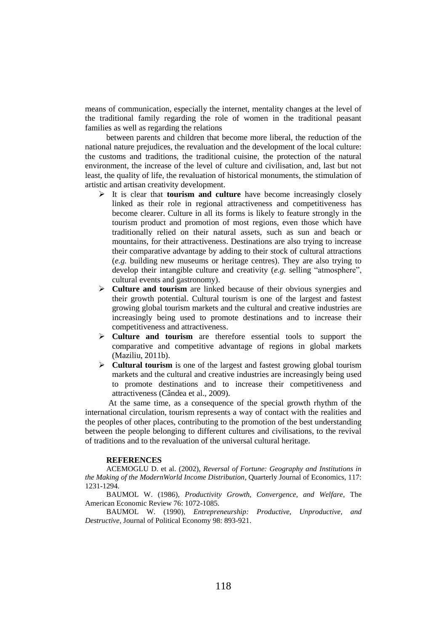means of communication, especially the internet, mentality changes at the level of the traditional family regarding the role of women in the traditional peasant families as well as regarding the relations

between parents and children that become more liberal, the reduction of the national nature prejudices, the revaluation and the development of the local culture: the customs and traditions, the traditional cuisine, the protection of the natural environment, the increase of the level of culture and civilisation, and, last but not least, the quality of life, the revaluation of historical monuments, the stimulation of artistic and artisan creativity development.

- It is clear that **tourism and culture** have become increasingly closely linked as their role in regional attractiveness and competitiveness has become clearer. Culture in all its forms is likely to feature strongly in the tourism product and promotion of most regions, even those which have traditionally relied on their natural assets, such as sun and beach or mountains, for their attractiveness. Destinations are also trying to increase their comparative advantage by adding to their stock of cultural attractions (*e.g.* building new museums or heritage centres). They are also trying to develop their intangible culture and creativity (*e.g.* selling "atmosphere", cultural events and gastronomy).
- **Culture and tourism** are linked because of their obvious synergies and their growth potential. Cultural tourism is one of the largest and fastest growing global tourism markets and the cultural and creative industries are increasingly being used to promote destinations and to increase their competitiveness and attractiveness.
- **Culture and tourism** are therefore essential tools to support the comparative and competitive advantage of regions in global markets (Maziliu, 2011b).
- **Cultural tourism** is one of the largest and fastest growing global tourism markets and the cultural and creative industries are increasingly being used to promote destinations and to increase their competitiveness and attractiveness (Cândea et al., 2009).

At the same time, as a consequence of the special growth rhythm of the international circulation, tourism represents a way of contact with the realities and the peoples of other places, contributing to the promotion of the best understanding between the people belonging to different cultures and civilisations, to the revival of traditions and to the revaluation of the universal cultural heritage.

#### **REFERENCES**

ACEMOGLU D. et al. (2002), *Reversal of Fortune: Geography and Institutions in the Making of the ModernWorld Income Distribution*, Quarterly Journal of Economics, 117: 1231-1294.

BAUMOL W. (1986), *Productivity Growth, Convergence, and Welfare*, The American Economic Review 76: 1072-1085.

BAUMOL W. (1990), *Entrepreneurship: Productive, Unproductive, and Destructive*, Journal of Political Economy 98: 893-921.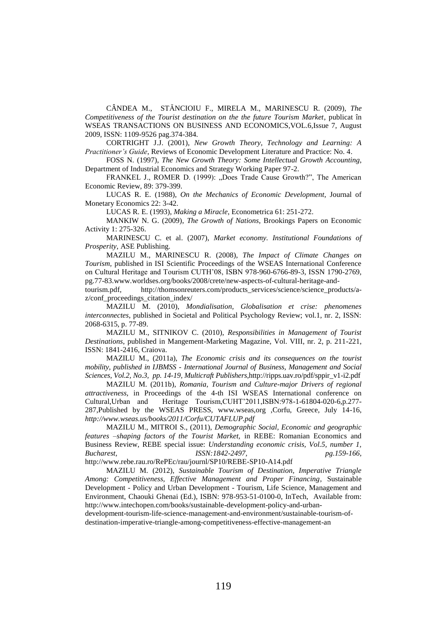CÂNDEA M., STĂNCIOIU F., MIRELA M., MARINESCU R. (2009), *The Competitiveness of the Tourist destination on the the future Tourism Market*, publicat în WSEAS TRANSACTIONS ON BUSINESS AND ECONOMICS,VOL.6,Issue 7, August 2009, ISSN: 1109-9526 pag.374-384.

CORTRIGHT J.J. (2001), *New Growth Theory, Technology and Learning: A Practitioner's Guide*, Reviews of Economic Development Literature and Practice: No. 4.

FOSS N. (1997), *The New Growth Theory: Some Intellectual Growth Accounting*, Department of Industrial Economics and Strategy Working Paper 97-2.

FRANKEL J., ROMER D. (1999): "Does Trade Cause Growth?", The American Economic Review, 89: 379-399.

LUCAS R. E. (1988), *On the Mechanics of Economic Development*, Journal of Monetary Economics 22: 3-42.

LUCAS R. E. (1993), *Making a Miracle*, Econometrica 61: 251-272.

MANKIW N. G. (2009), *The Growth of Nations*, Brookings Papers on Economic Activity 1: 275-326.

MARINESCU C. et al. (2007), *Market economy. Institutional Foundations of Prosperity*, ASE Publishing.

MAZILU M., MARINESCU R. (2008), *The Impact of Climate Changes on Tourism,* published in ISI Scientific Proceedings of the WSEAS International Conference on Cultural Heritage and Tourism CUTH'08, ISBN 978-960-6766-89-3, ISSN 1790-2769, pg.77-83.www.worldses.org/books/2008/crete/new-aspects-of-cultural-heritage-and-

tourism.pdf, [http://thomsonreuters.com/products\\_services/science/science\\_products/a](http://thomsonreuters.com/products_services/science/science_products/a-z/conf_proceedings_citation_index/)[z/conf\\_proceedings\\_citation\\_index/](http://thomsonreuters.com/products_services/science/science_products/a-z/conf_proceedings_citation_index/)

MAZILU M. (2010), *Mondialisation, Globalisation et crise: phenomenes interconnectes*, published in Societal and Political Psychology Review; vol.1, nr. 2, ISSN: 2068-6315, p. 77-89.

MAZILU M., SITNIKOV C. (2010), *Responsibilities in Management of Tourist Destinations*, published in Mangement-Marketing Magazine, Vol. VIII, nr. 2, p. 211-221, ISSN: 1841-2416, Craiova.

MAZILU M., (2011a), *The Economic crisis and its consequences on the tourist mobility, published in IJBMSS - International Journal of Business, Management and Social Sciences, Vol.2, No.3, pp. 14-19, Multicraft Publishers,*[http://ripps.uav.ro/pdf/sppir\\_v1-i2.pdf](http://ripps.uav.ro/pdf/sppir_v1-i2.pdf)

MAZILU M. (2011b), *Romania, Tourism and Culture-major Drivers of regional attractiveness,* in Proceedings of the 4-th ISI WSEAS International conference on Cultural,Urban and Heritage Tourism,CUHT'2011,ISBN:978-1-61804-020-6,p.277- 287,Published by the WSEAS PRESS, www.wseas,org ,Corfu, Greece, July 14-16, *<http://www.wseas.us/books/2011/Corfu/CUTAFLUP.pdf>*

MAZILU M., MITROI S., (2011), *Demographic Social, Economic and geographic features –shaping factors of the Tourist Market,* in REBE: Romanian Economics and Business Review, REBE special issue: *Understanding economic crisis, Vol.5, number 1, Bucharest, ISSN:1842-2497, pg.159-166,*  <http://www.rebe.rau.ro/RePEc/rau/journl/SP10/REBE-SP10-A14.pdf>

MAZILU M. (2012), *Sustainable Tourism of Destination, Imperative Triangle Among: Competitiveness, Effective Management and Proper Financing*, Sustainable Development - Policy and Urban Development - Tourism, Life Science, Management and Environment, Chaouki Ghenai (Ed.), ISBN: 978-953-51-0100-0, InTech, Available from: [http://www.intechopen.com/books/sustainable-development-policy-and-urban-](http://www.intechopen.com/books/sustainable-development-policy-and-urban-development-tourism-life-science-management-and-environment/sustainable-tourism-of-destination-imperative-triangle-among-competitiveness-effective-management-an)

[development-tourism-life-science-management-and-environment/sustainable-tourism-of](http://www.intechopen.com/books/sustainable-development-policy-and-urban-development-tourism-life-science-management-and-environment/sustainable-tourism-of-destination-imperative-triangle-among-competitiveness-effective-management-an)[destination-imperative-triangle-among-competitiveness-effective-management-an](http://www.intechopen.com/books/sustainable-development-policy-and-urban-development-tourism-life-science-management-and-environment/sustainable-tourism-of-destination-imperative-triangle-among-competitiveness-effective-management-an)